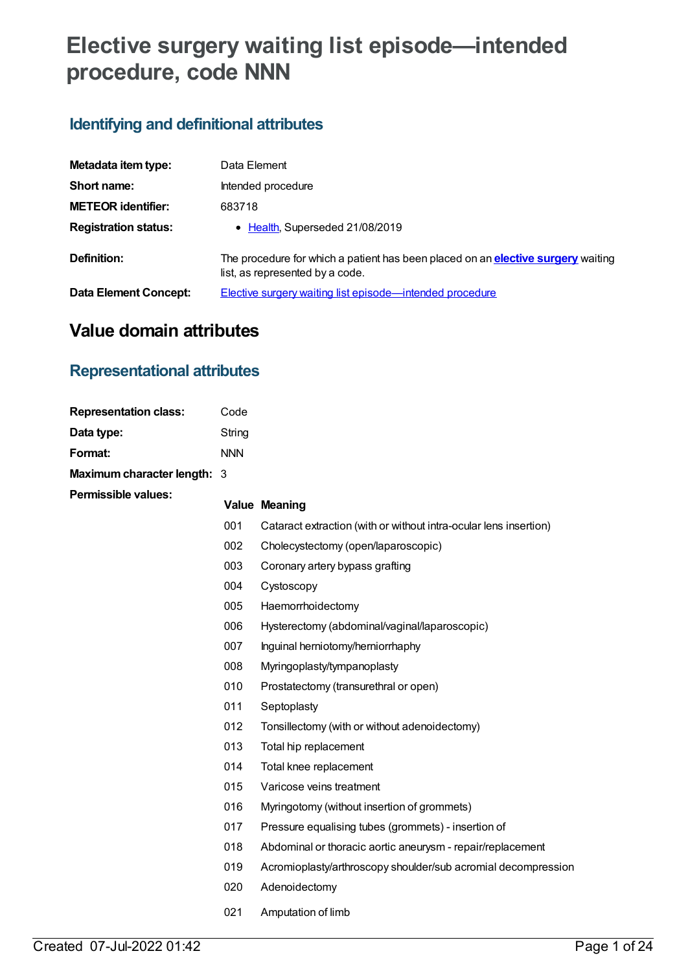# **Elective surgery waiting list episode—intended procedure, code NNN**

# **Identifying and definitional attributes**

| Metadata item type:         | Data Element                                                                                                               |
|-----------------------------|----------------------------------------------------------------------------------------------------------------------------|
| Short name:                 | Intended procedure                                                                                                         |
| <b>METEOR identifier:</b>   | 683718                                                                                                                     |
| <b>Registration status:</b> | • Health, Superseded 21/08/2019                                                                                            |
| Definition:                 | The procedure for which a patient has been placed on an <b>elective surgery</b> waiting<br>list, as represented by a code. |
| Data Element Concept:       | Elective surgery waiting list episode—intended procedure                                                                   |

# **Value domain attributes**

# **Representational attributes**

| <b>Representation class:</b> | Code       |                                                                   |
|------------------------------|------------|-------------------------------------------------------------------|
| Data type:                   | String     |                                                                   |
| Format:                      | <b>NNN</b> |                                                                   |
| Maximum character length: 3  |            |                                                                   |
| <b>Permissible values:</b>   |            | <b>Value Meaning</b>                                              |
|                              | 001        | Cataract extraction (with or without intra-ocular lens insertion) |
|                              | 002        | Cholecystectomy (open/laparoscopic)                               |
|                              | 003        | Coronary artery bypass grafting                                   |
|                              | 004        | Cystoscopy                                                        |
|                              | 005        | Haemorrhoidectomy                                                 |
|                              | 006        | Hysterectomy (abdominal/vaginal/laparoscopic)                     |
|                              | 007        | Inguinal herniotomy/herniorrhaphy                                 |
|                              | 008        | Myringoplasty/tympanoplasty                                       |
|                              | 010        | Prostatectomy (transurethral or open)                             |
|                              | 011        | Septoplasty                                                       |
|                              | 012        | Tonsillectomy (with or without adenoidectomy)                     |
|                              | 013        | Total hip replacement                                             |
|                              | 014        | Total knee replacement                                            |
|                              | 015        | Varicose veins treatment                                          |
|                              | 016        | Myringotomy (without insertion of grommets)                       |
|                              | 017        | Pressure equalising tubes (grommets) - insertion of               |
|                              | 018        | Abdominal or thoracic aortic aneurysm - repair/replacement        |
|                              | 019        | Acromioplasty/arthroscopy shoulder/sub acromial decompression     |
|                              | 020        | Adenoidectomy                                                     |
|                              | 021        | Amputation of limb                                                |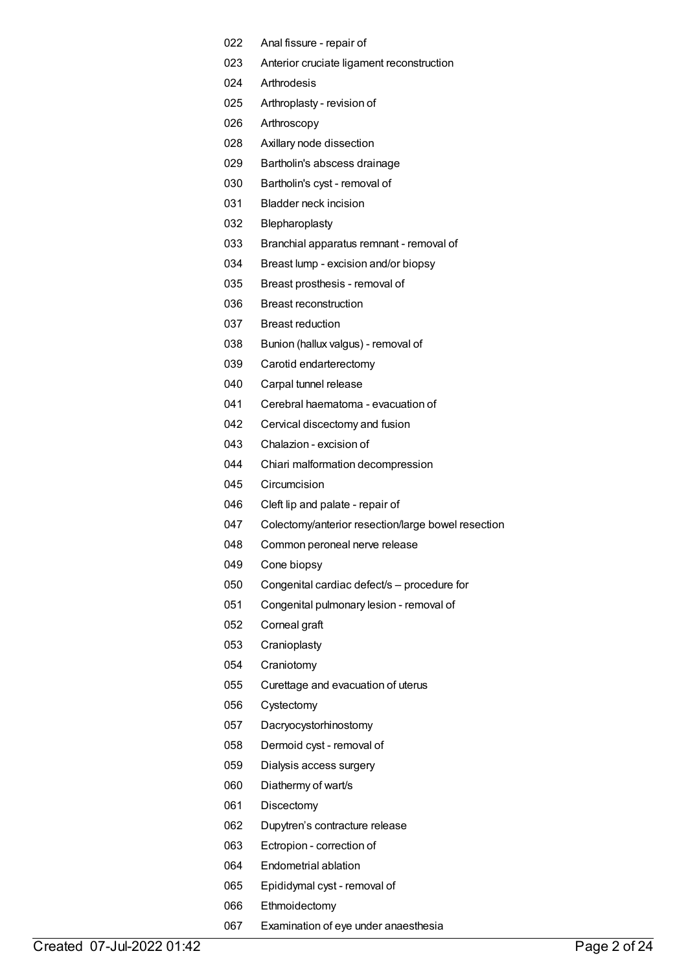- Anal fissure repair of
- Anterior cruciate ligament reconstruction
- Arthrodesis
- Arthroplasty revision of
- Arthroscopy
- Axillary node dissection
- Bartholin's abscess drainage
- Bartholin's cyst removal of
- Bladder neck incision
- Blepharoplasty
- Branchial apparatus remnant removal of
- Breast lump excision and/or biopsy
- Breast prosthesis removal of
- Breast reconstruction
- Breast reduction
- Bunion (hallux valgus) removal of
- Carotid endarterectomy
- Carpal tunnel release
- Cerebral haematoma evacuation of
- Cervical discectomy and fusion
- Chalazion excision of
- Chiari malformation decompression
- Circumcision
- Cleft lip and palate repair of
- Colectomy/anterior resection/large bowel resection
- Common peroneal nerve release
- Cone biopsy
- Congenital cardiac defect/s procedure for
- Congenital pulmonary lesion removal of
- Corneal graft
- Cranioplasty
- Craniotomy
- Curettage and evacuation of uterus
- Cystectomy
- Dacryocystorhinostomy
- Dermoid cyst removal of
- Dialysis access surgery
- Diathermy of wart/s
- Discectomy
- Dupytren's contracture release
- Ectropion correction of
- Endometrial ablation
- Epididymal cyst removal of
- Ethmoidectomy
- Examination of eye under anaesthesia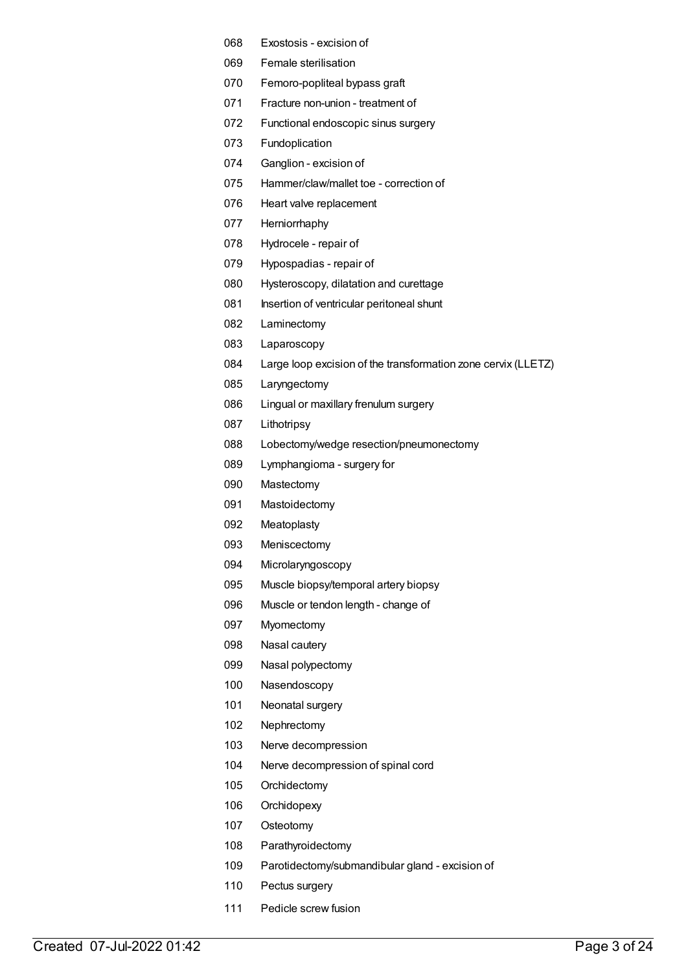- Exostosis excision of
- Female sterilisation
- Femoro-popliteal bypass graft
- Fracture non-union treatment of
- Functional endoscopic sinus surgery
- Fundoplication
- Ganglion excision of
- Hammer/claw/mallet toe correction of
- Heart valve replacement
- Herniorrhaphy
- Hydrocele repair of
- Hypospadias repair of
- Hysteroscopy, dilatation and curettage
- 081 Insertion of ventricular peritoneal shunt
- Laminectomy
- Laparoscopy
- Large loop excision of the transformation zone cervix (LLETZ)
- Laryngectomy
- Lingual or maxillary frenulum surgery
- Lithotripsy
- Lobectomy/wedge resection/pneumonectomy
- Lymphangioma surgery for
- Mastectomy
- Mastoidectomy
- Meatoplasty
- Meniscectomy
- Microlaryngoscopy
- Muscle biopsy/temporal artery biopsy
- Muscle or tendon length change of
- Myomectomy
- Nasal cautery
- Nasal polypectomy
- Nasendoscopy
- Neonatal surgery
- Nephrectomy
- Nerve decompression
- Nerve decompression of spinal cord
- Orchidectomy
- Orchidopexy
- Osteotomy
- Parathyroidectomy
- Parotidectomy/submandibular gland excision of
- Pectus surgery
- Pedicle screw fusion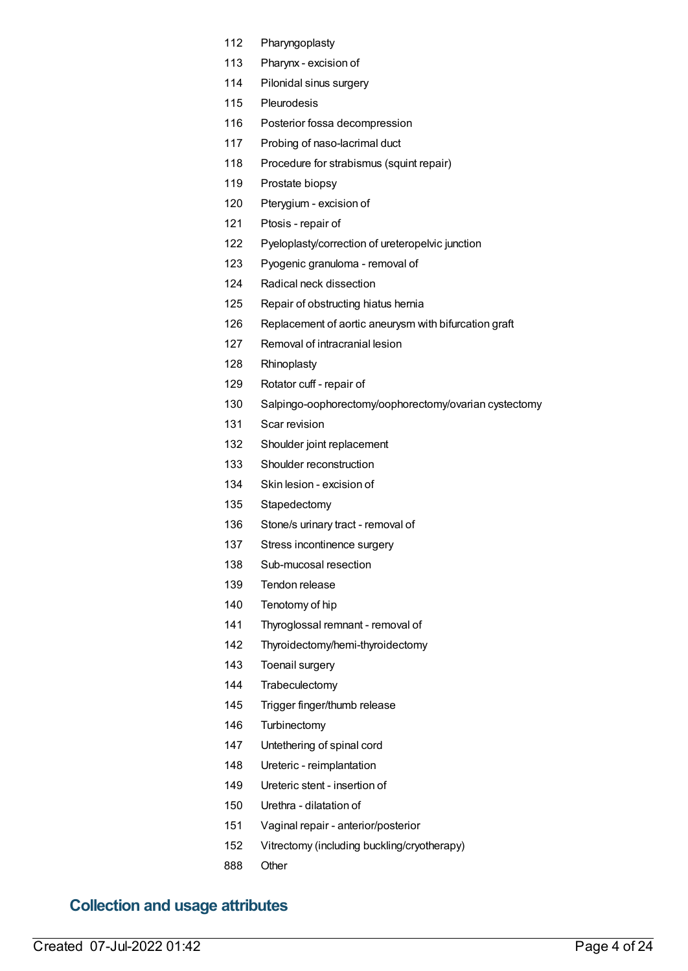- Pharyngoplasty
- Pharynx excision of
- Pilonidal sinus surgery
- Pleurodesis
- Posterior fossa decompression
- Probing of naso-lacrimal duct
- Procedure for strabismus (squint repair)
- Prostate biopsy
- Pterygium excision of
- Ptosis repair of
- Pyeloplasty/correction of ureteropelvic junction
- Pyogenic granuloma removal of
- Radical neck dissection
- Repair of obstructing hiatus hernia
- Replacement of aortic aneurysm with bifurcation graft
- Removal of intracranial lesion
- Rhinoplasty
- Rotator cuff repair of
- Salpingo-oophorectomy/oophorectomy/ovarian cystectomy
- Scar revision
- Shoulder joint replacement
- Shoulder reconstruction
- Skin lesion excision of
- Stapedectomy
- Stone/s urinary tract removal of
- 137 Stress incontinence surgery
- Sub-mucosal resection
- Tendon release
- Tenotomy of hip
- Thyroglossal remnant removal of
- Thyroidectomy/hemi-thyroidectomy
- Toenail surgery
- Trabeculectomy
- Trigger finger/thumb release
- Turbinectomy
- Untethering of spinal cord
- Ureteric reimplantation
- Ureteric stent insertion of
- Urethra dilatation of
- Vaginal repair anterior/posterior
- Vitrectomy (including buckling/cryotherapy)
- Other

# **Collection and usage attributes**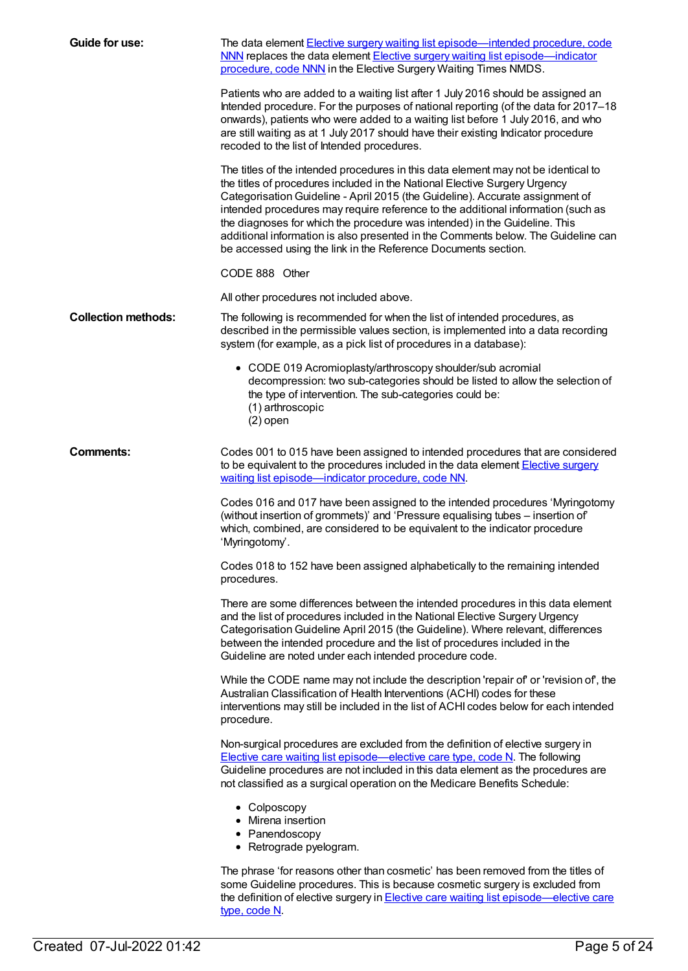| Guide for use:             | The data element Elective surgery waiting list episode—intended procedure, code<br>NNN replaces the data element Elective surgery waiting list episode—indicator<br>procedure, code NNN in the Elective Surgery Waiting Times NMDS.                                                                                                                                                                                                                                                                                                                                        |
|----------------------------|----------------------------------------------------------------------------------------------------------------------------------------------------------------------------------------------------------------------------------------------------------------------------------------------------------------------------------------------------------------------------------------------------------------------------------------------------------------------------------------------------------------------------------------------------------------------------|
|                            | Patients who are added to a waiting list after 1 July 2016 should be assigned an<br>Intended procedure. For the purposes of national reporting (of the data for 2017-18<br>onwards), patients who were added to a waiting list before 1 July 2016, and who<br>are still waiting as at 1 July 2017 should have their existing Indicator procedure<br>recoded to the list of Intended procedures.                                                                                                                                                                            |
|                            | The titles of the intended procedures in this data element may not be identical to<br>the titles of procedures included in the National Elective Surgery Urgency<br>Categorisation Guideline - April 2015 (the Guideline). Accurate assignment of<br>intended procedures may require reference to the additional information (such as<br>the diagnoses for which the procedure was intended) in the Guideline. This<br>additional information is also presented in the Comments below. The Guideline can<br>be accessed using the link in the Reference Documents section. |
|                            | CODE 888 Other                                                                                                                                                                                                                                                                                                                                                                                                                                                                                                                                                             |
|                            | All other procedures not included above.                                                                                                                                                                                                                                                                                                                                                                                                                                                                                                                                   |
| <b>Collection methods:</b> | The following is recommended for when the list of intended procedures, as<br>described in the permissible values section, is implemented into a data recording<br>system (for example, as a pick list of procedures in a database):                                                                                                                                                                                                                                                                                                                                        |
|                            | • CODE 019 Acromioplasty/arthroscopy shoulder/sub acromial<br>decompression: two sub-categories should be listed to allow the selection of<br>the type of intervention. The sub-categories could be:<br>(1) arthroscopic<br>$(2)$ open                                                                                                                                                                                                                                                                                                                                     |
| <b>Comments:</b>           | Codes 001 to 015 have been assigned to intended procedures that are considered<br>to be equivalent to the procedures included in the data element Elective surgery<br>waiting list episode-indicator procedure, code NN.                                                                                                                                                                                                                                                                                                                                                   |
|                            | Codes 016 and 017 have been assigned to the intended procedures 'Myringotomy<br>(without insertion of grommets)' and 'Pressure equalising tubes - insertion of<br>which, combined, are considered to be equivalent to the indicator procedure<br>'Myringotomy'.                                                                                                                                                                                                                                                                                                            |
|                            | Codes 018 to 152 have been assigned alphabetically to the remaining intended<br>procedures.                                                                                                                                                                                                                                                                                                                                                                                                                                                                                |
|                            | There are some differences between the intended procedures in this data element<br>and the list of procedures included in the National Elective Surgery Urgency<br>Categorisation Guideline April 2015 (the Guideline). Where relevant, differences<br>between the intended procedure and the list of procedures included in the<br>Guideline are noted under each intended procedure code.                                                                                                                                                                                |
|                            | While the CODE name may not include the description 'repair of' or 'revision of', the<br>Australian Classification of Health Interventions (ACHI) codes for these<br>interventions may still be included in the list of ACHI codes below for each intended<br>procedure.                                                                                                                                                                                                                                                                                                   |
|                            | Non-surgical procedures are excluded from the definition of elective surgery in<br>Elective care waiting list episode—elective care type, code N. The following<br>Guideline procedures are not included in this data element as the procedures are<br>not classified as a surgical operation on the Medicare Benefits Schedule:                                                                                                                                                                                                                                           |
|                            | • Colposcopy<br>• Mirena insertion<br>• Panendoscopy<br>• Retrograde pyelogram.                                                                                                                                                                                                                                                                                                                                                                                                                                                                                            |
|                            | The phrase 'for reasons other than cosmetic' has been removed from the titles of<br>some Guideline procedures. This is because cosmetic surgery is excluded from<br>the definition of elective surgery in <b>Elective care waiting list episode—elective care</b><br>type, code N.                                                                                                                                                                                                                                                                                         |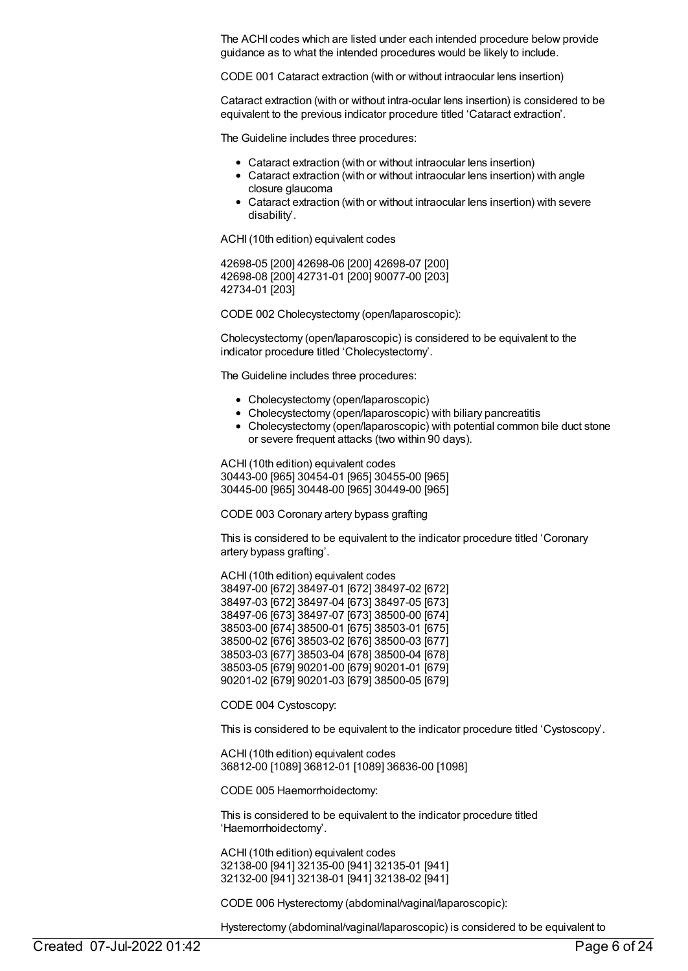The ACHI codes which are listed under each intended procedure below provide guidance as to what the intended procedures would be likely to include.

CODE 001 Cataract extraction (with or without intraocular lens insertion)

Cataract extraction (with or without intra-ocular lens insertion) is considered to be equivalent to the previous indicator procedure titled 'Cataract extraction'.

The Guideline includes three procedures:

- Cataract extraction (with or without intraocular lens insertion)
- Cataract extraction (with or without intraocular lens insertion) with angle closure glaucoma
- Cataract extraction (with or without intraocular lens insertion) with severe disability'.

ACHI(10th edition) equivalent codes

42698-05 [200] 42698-06 [200] 42698-07 [200] 42698-08 [200] 42731-01 [200] 90077-00 [203] 42734-01 [203]

CODE 002 Cholecystectomy (open/laparoscopic):

Cholecystectomy (open/laparoscopic) is considered to be equivalent to the indicator procedure titled 'Cholecystectomy'.

The Guideline includes three procedures:

- Cholecystectomy (open/laparoscopic)
- Cholecystectomy (open/laparoscopic) with biliary pancreatitis
- Cholecystectomy (open/laparoscopic) with potential common bile duct stone or severe frequent attacks (two within 90 days).

ACHI(10th edition) equivalent codes 30443-00 [965] 30454-01 [965] 30455-00 [965] 30445-00 [965] 30448-00 [965] 30449-00 [965]

CODE 003 Coronary artery bypass grafting

This is considered to be equivalent to the indicator procedure titled 'Coronary artery bypass grafting'.

ACHI(10th edition) equivalent codes 38497-00 [672] 38497-01 [672] 38497-02 [672] 38497-03 [672] 38497-04 [673] 38497-05 [673] 38497-06 [673] 38497-07 [673] 38500-00 [674] 38503-00 [674] 38500-01 [675] 38503-01 [675] 38500-02 [676] 38503-02 [676] 38500-03 [677] 38503-03 [677] 38503-04 [678] 38500-04 [678] 38503-05 [679] 90201-00 [679] 90201-01 [679] 90201-02 [679] 90201-03 [679] 38500-05 [679]

CODE 004 Cystoscopy:

This is considered to be equivalent to the indicator procedure titled 'Cystoscopy'.

ACHI(10th edition) equivalent codes 36812-00 [1089] 36812-01 [1089] 36836-00 [1098]

CODE 005 Haemorrhoidectomy:

This is considered to be equivalent to the indicator procedure titled 'Haemorrhoidectomy'.

ACHI(10th edition) equivalent codes 32138-00 [941] 32135-00 [941] 32135-01 [941] 32132-00 [941] 32138-01 [941] 32138-02 [941]

CODE 006 Hysterectomy (abdominal/vaginal/laparoscopic):

Hysterectomy (abdominal/vaginal/laparoscopic) is considered to be equivalent to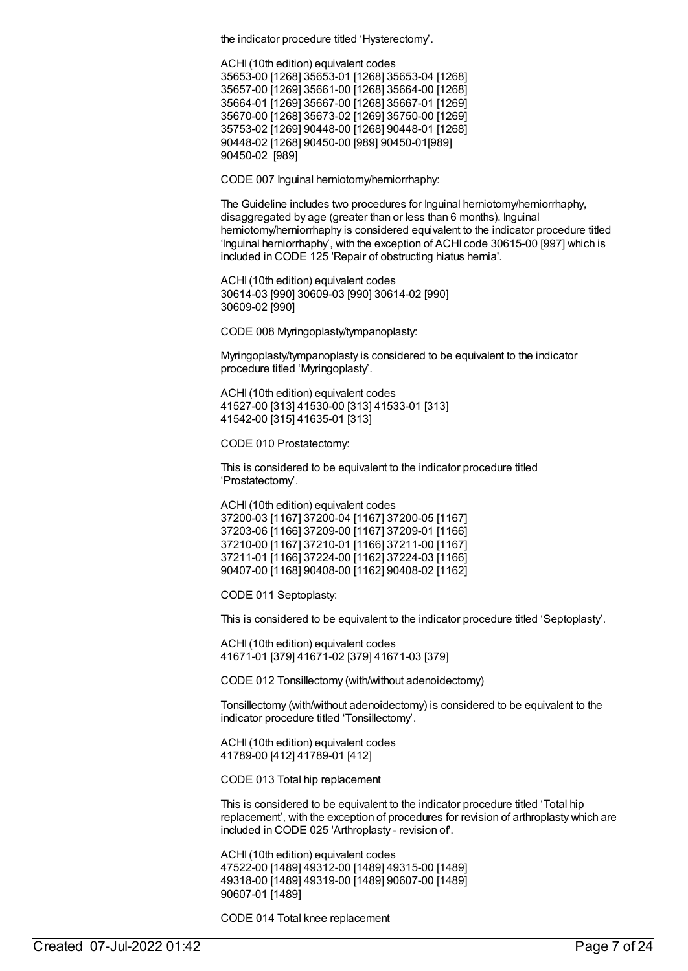the indicator procedure titled 'Hysterectomy'.

ACHI(10th edition) equivalent codes 35653-00 [1268] 35653-01 [1268] 35653-04 [1268] 35657-00 [1269] 35661-00 [1268] 35664-00 [1268] 35664-01 [1269] 35667-00 [1268] 35667-01 [1269] 35670-00 [1268] 35673-02 [1269] 35750-00 [1269] 35753-02 [1269] 90448-00 [1268] 90448-01 [1268] 90448-02 [1268] 90450-00 [989] 90450-01[989] 90450-02 [989]

CODE 007 Inguinal herniotomy/herniorrhaphy:

The Guideline includes two procedures for Inguinal herniotomy/herniorrhaphy, disaggregated by age (greater than or less than 6 months). Inguinal herniotomy/herniorrhaphy is considered equivalent to the indicator procedure titled 'Inguinal herniorrhaphy', with the exception of ACHI code 30615-00 [997] which is included in CODE 125 'Repair of obstructing hiatus hernia'.

ACHI(10th edition) equivalent codes 30614-03 [990] 30609-03 [990] 30614-02 [990] 30609-02 [990]

CODE 008 Myringoplasty/tympanoplasty:

Myringoplasty/tympanoplasty is considered to be equivalent to the indicator procedure titled 'Myringoplasty'.

ACHI(10th edition) equivalent codes 41527-00 [313] 41530-00 [313] 41533-01 [313] 41542-00 [315] 41635-01 [313]

CODE 010 Prostatectomy:

This is considered to be equivalent to the indicator procedure titled 'Prostatectomy'.

ACHI(10th edition) equivalent codes 37200-03 [1167] 37200-04 [1167] 37200-05 [1167] 37203-06 [1166] 37209-00 [1167] 37209-01 [1166] 37210-00 [1167] 37210-01 [1166] 37211-00 [1167] 37211-01 [1166] 37224-00 [1162] 37224-03 [1166] 90407-00 [1168] 90408-00 [1162] 90408-02 [1162]

CODE 011 Septoplasty:

This is considered to be equivalent to the indicator procedure titled 'Septoplasty'.

ACHI(10th edition) equivalent codes 41671-01 [379] 41671-02 [379] 41671-03 [379]

CODE 012 Tonsillectomy (with/without adenoidectomy)

Tonsillectomy (with/without adenoidectomy) is considered to be equivalent to the indicator procedure titled 'Tonsillectomy'.

ACHI(10th edition) equivalent codes 41789-00 [412] 41789-01 [412]

CODE 013 Total hip replacement

This is considered to be equivalent to the indicator procedure titled 'Total hip replacement', with the exception of procedures for revision of arthroplasty which are included in CODE 025 'Arthroplasty - revision of'.

ACHI(10th edition) equivalent codes 47522-00 [1489] 49312-00 [1489] 49315-00 [1489] 49318-00 [1489] 49319-00 [1489] 90607-00 [1489] 90607-01 [1489]

CODE 014 Total knee replacement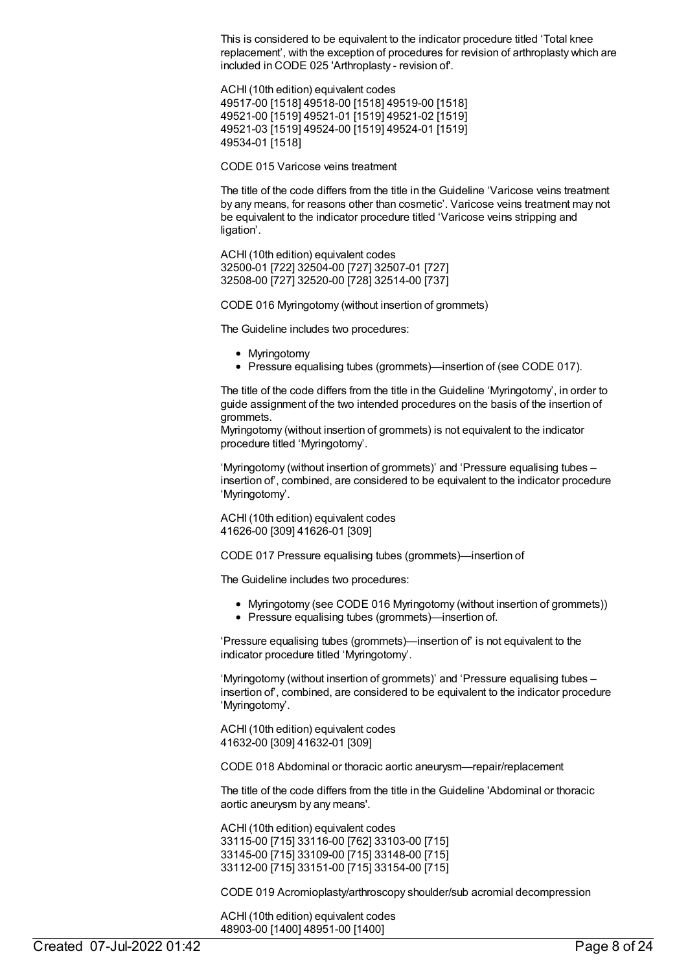This is considered to be equivalent to the indicator procedure titled 'Total knee replacement', with the exception of procedures for revision of arthroplasty which are included in CODE 025 'Arthroplasty - revision of'.

ACHI(10th edition) equivalent codes 49517-00 [1518] 49518-00 [1518] 49519-00 [1518] 49521-00 [1519] 49521-01 [1519] 49521-02 [1519] 49521-03 [1519] 49524-00 [1519] 49524-01 [1519] 49534-01 [1518]

CODE 015 Varicose veins treatment

The title of the code differs from the title in the Guideline 'Varicose veins treatment by any means, for reasons other than cosmetic'. Varicose veins treatment may not be equivalent to the indicator procedure titled 'Varicose veins stripping and ligation'.

ACHI(10th edition) equivalent codes 32500-01 [722] 32504-00 [727] 32507-01 [727] 32508-00 [727] 32520-00 [728] 32514-00 [737]

CODE 016 Myringotomy (without insertion of grommets)

The Guideline includes two procedures:

- Myringotomy
- Pressure equalising tubes (grommets)—insertion of (see CODE 017).

The title of the code differs from the title in the Guideline 'Myringotomy', in order to guide assignment of the two intended procedures on the basis of the insertion of grommets.

Myringotomy (without insertion of grommets) is not equivalent to the indicator procedure titled 'Myringotomy'.

'Myringotomy (without insertion of grommets)' and 'Pressure equalising tubes – insertion of', combined, are considered to be equivalent to the indicator procedure 'Myringotomy'.

ACHI(10th edition) equivalent codes 41626-00 [309] 41626-01 [309]

CODE 017 Pressure equalising tubes (grommets)—insertion of

The Guideline includes two procedures:

- Myringotomy (see CODE 016 Myringotomy (without insertion of grommets))
- Pressure equalising tubes (grommets)—insertion of.

'Pressure equalising tubes (grommets)—insertion of' is not equivalent to the indicator procedure titled 'Myringotomy'.

'Myringotomy (without insertion of grommets)' and 'Pressure equalising tubes – insertion of', combined, are considered to be equivalent to the indicator procedure 'Myringotomy'.

ACHI(10th edition) equivalent codes 41632-00 [309] 41632-01 [309]

CODE 018 Abdominal or thoracic aortic aneurysm—repair/replacement

The title of the code differs from the title in the Guideline 'Abdominal or thoracic aortic aneurysm by any means'.

ACHI(10th edition) equivalent codes 33115-00 [715] 33116-00 [762] 33103-00 [715] 33145-00 [715] 33109-00 [715] 33148-00 [715] 33112-00 [715] 33151-00 [715] 33154-00 [715]

CODE 019 Acromioplasty/arthroscopy shoulder/sub acromial decompression

ACHI(10th edition) equivalent codes 48903-00 [1400] 48951-00 [1400]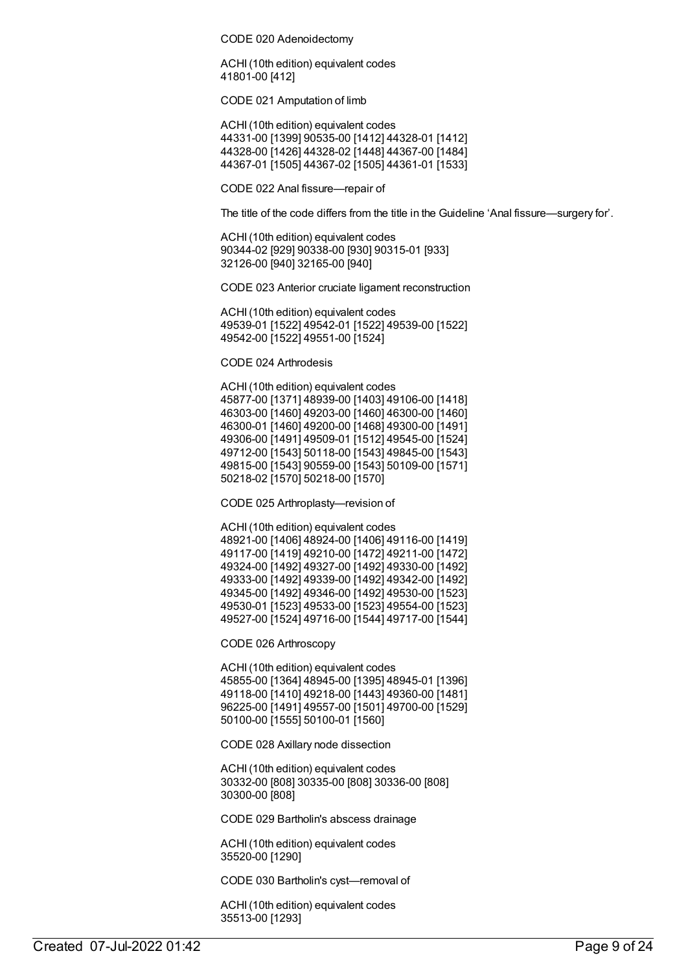CODE 020 Adenoidectomy

ACHI(10th edition) equivalent codes 41801-00 [412]

CODE 021 Amputation of limb

ACHI(10th edition) equivalent codes 44331-00 [1399] 90535-00 [1412] 44328-01 [1412] 44328-00 [1426] 44328-02 [1448] 44367-00 [1484] 44367-01 [1505] 44367-02 [1505] 44361-01 [1533]

CODE 022 Anal fissure—repair of

The title of the code differs from the title in the Guideline 'Anal fissure—surgery for'.

ACHI(10th edition) equivalent codes 90344-02 [929] 90338-00 [930] 90315-01 [933] 32126-00 [940] 32165-00 [940]

CODE 023 Anterior cruciate ligament reconstruction

ACHI(10th edition) equivalent codes 49539-01 [1522] 49542-01 [1522] 49539-00 [1522] 49542-00 [1522] 49551-00 [1524]

CODE 024 Arthrodesis

ACHI(10th edition) equivalent codes 45877-00 [1371] 48939-00 [1403] 49106-00 [1418] 46303-00 [1460] 49203-00 [1460] 46300-00 [1460] 46300-01 [1460] 49200-00 [1468] 49300-00 [1491] 49306-00 [1491] 49509-01 [1512] 49545-00 [1524] 49712-00 [1543] 50118-00 [1543] 49845-00 [1543] 49815-00 [1543] 90559-00 [1543] 50109-00 [1571] 50218-02 [1570] 50218-00 [1570]

CODE 025 Arthroplasty—revision of

ACHI(10th edition) equivalent codes 48921-00 [1406] 48924-00 [1406] 49116-00 [1419] 49117-00 [1419] 49210-00 [1472] 49211-00 [1472] 49324-00 [1492] 49327-00 [1492] 49330-00 [1492] 49333-00 [1492] 49339-00 [1492] 49342-00 [1492] 49345-00 [1492] 49346-00 [1492] 49530-00 [1523] 49530-01 [1523] 49533-00 [1523] 49554-00 [1523] 49527-00 [1524] 49716-00 [1544] 49717-00 [1544]

CODE 026 Arthroscopy

ACHI(10th edition) equivalent codes 45855-00 [1364] 48945-00 [1395] 48945-01 [1396] 49118-00 [1410] 49218-00 [1443] 49360-00 [1481] 96225-00 [1491] 49557-00 [1501] 49700-00 [1529] 50100-00 [1555] 50100-01 [1560]

CODE 028 Axillary node dissection

ACHI(10th edition) equivalent codes 30332-00 [808] 30335-00 [808] 30336-00 [808] 30300-00 [808]

CODE 029 Bartholin's abscess drainage

ACHI(10th edition) equivalent codes 35520-00 [1290]

CODE 030 Bartholin's cyst—removal of

ACHI(10th edition) equivalent codes 35513-00 [1293]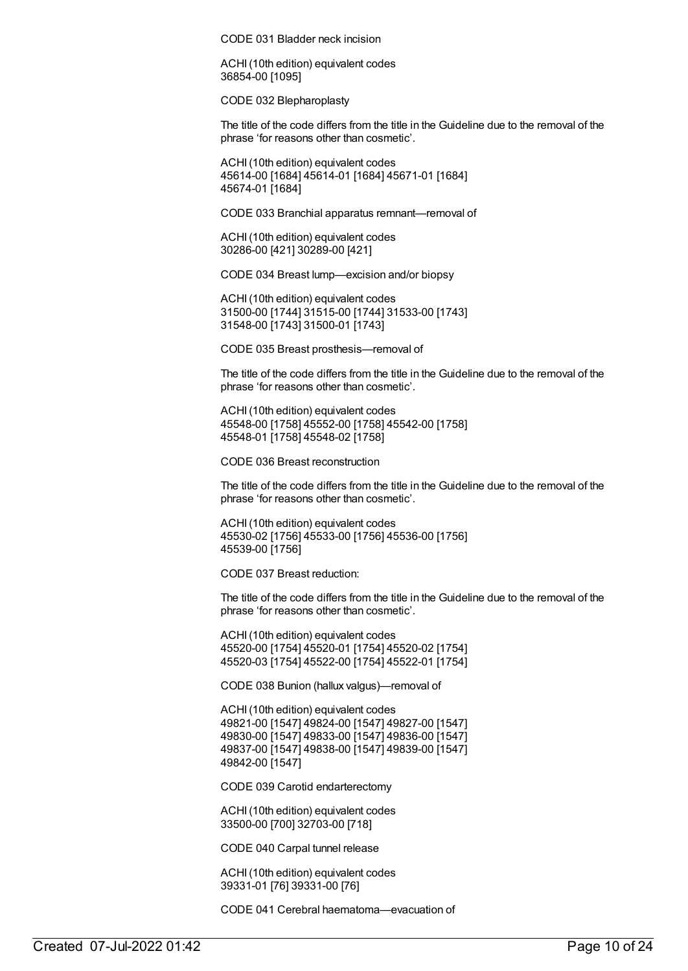CODE 031 Bladder neck incision

ACHI(10th edition) equivalent codes 36854-00 [1095]

CODE 032 Blepharoplasty

The title of the code differs from the title in the Guideline due to the removal of the phrase 'for reasons other than cosmetic'.

ACHI(10th edition) equivalent codes 45614-00 [1684] 45614-01 [1684] 45671-01 [1684] 45674-01 [1684]

CODE 033 Branchial apparatus remnant—removal of

ACHI(10th edition) equivalent codes 30286-00 [421] 30289-00 [421]

CODE 034 Breast lump—excision and/or biopsy

ACHI(10th edition) equivalent codes 31500-00 [1744] 31515-00 [1744] 31533-00 [1743] 31548-00 [1743] 31500-01 [1743]

CODE 035 Breast prosthesis—removal of

The title of the code differs from the title in the Guideline due to the removal of the phrase 'for reasons other than cosmetic'.

ACHI(10th edition) equivalent codes 45548-00 [1758] 45552-00 [1758] 45542-00 [1758] 45548-01 [1758] 45548-02 [1758]

CODE 036 Breast reconstruction

The title of the code differs from the title in the Guideline due to the removal of the phrase 'for reasons other than cosmetic'.

ACHI(10th edition) equivalent codes 45530-02 [1756] 45533-00 [1756] 45536-00 [1756] 45539-00 [1756]

CODE 037 Breast reduction:

The title of the code differs from the title in the Guideline due to the removal of the phrase 'for reasons other than cosmetic'.

ACHI(10th edition) equivalent codes 45520-00 [1754] 45520-01 [1754] 45520-02 [1754] 45520-03 [1754] 45522-00 [1754] 45522-01 [1754]

CODE 038 Bunion (hallux valgus)—removal of

ACHI(10th edition) equivalent codes 49821-00 [1547] 49824-00 [1547] 49827-00 [1547] 49830-00 [1547] 49833-00 [1547] 49836-00 [1547] 49837-00 [1547] 49838-00 [1547] 49839-00 [1547] 49842-00 [1547]

CODE 039 Carotid endarterectomy

ACHI(10th edition) equivalent codes 33500-00 [700] 32703-00 [718]

CODE 040 Carpal tunnel release

ACHI(10th edition) equivalent codes 39331-01 [76] 39331-00 [76]

CODE 041 Cerebral haematoma—evacuation of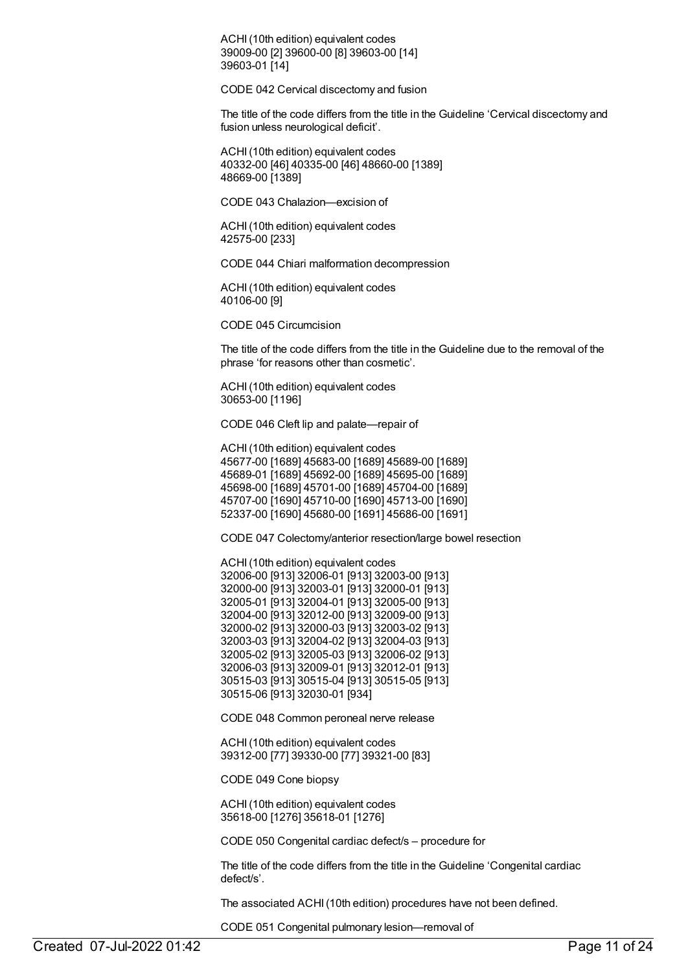ACHI(10th edition) equivalent codes 39009-00 [2] 39600-00 [8] 39603-00 [14] 39603-01 [14]

CODE 042 Cervical discectomy and fusion

The title of the code differs from the title in the Guideline 'Cervical discectomy and fusion unless neurological deficit'.

ACHI(10th edition) equivalent codes 40332-00 [46] 40335-00 [46] 48660-00 [1389] 48669-00 [1389]

CODE 043 Chalazion—excision of

ACHI(10th edition) equivalent codes 42575-00 [233]

CODE 044 Chiari malformation decompression

ACHI(10th edition) equivalent codes 40106-00 [9]

CODE 045 Circumcision

The title of the code differs from the title in the Guideline due to the removal of the phrase 'for reasons other than cosmetic'.

ACHI(10th edition) equivalent codes 30653-00 [1196]

CODE 046 Cleft lip and palate—repair of

ACHI(10th edition) equivalent codes 45677-00 [1689] 45683-00 [1689] 45689-00 [1689] 45689-01 [1689] 45692-00 [1689] 45695-00 [1689] 45698-00 [1689] 45701-00 [1689] 45704-00 [1689] 45707-00 [1690] 45710-00 [1690] 45713-00 [1690] 52337-00 [1690] 45680-00 [1691] 45686-00 [1691]

CODE 047 Colectomy/anterior resection/large bowel resection

ACHI(10th edition) equivalent codes 32006-00 [913] 32006-01 [913] 32003-00 [913] 32000-00 [913] 32003-01 [913] 32000-01 [913] 32005-01 [913] 32004-01 [913] 32005-00 [913] 32004-00 [913] 32012-00 [913] 32009-00 [913] 32000-02 [913] 32000-03 [913] 32003-02 [913] 32003-03 [913] 32004-02 [913] 32004-03 [913] 32005-02 [913] 32005-03 [913] 32006-02 [913] 32006-03 [913] 32009-01 [913] 32012-01 [913] 30515-03 [913] 30515-04 [913] 30515-05 [913] 30515-06 [913] 32030-01 [934]

CODE 048 Common peroneal nerve release

ACHI(10th edition) equivalent codes 39312-00 [77] 39330-00 [77] 39321-00 [83]

CODE 049 Cone biopsy

ACHI(10th edition) equivalent codes 35618-00 [1276] 35618-01 [1276]

CODE 050 Congenital cardiac defect/s – procedure for

The title of the code differs from the title in the Guideline 'Congenital cardiac defect/s'.

The associated ACHI(10th edition) procedures have not been defined.

CODE 051 Congenital pulmonary lesion—removal of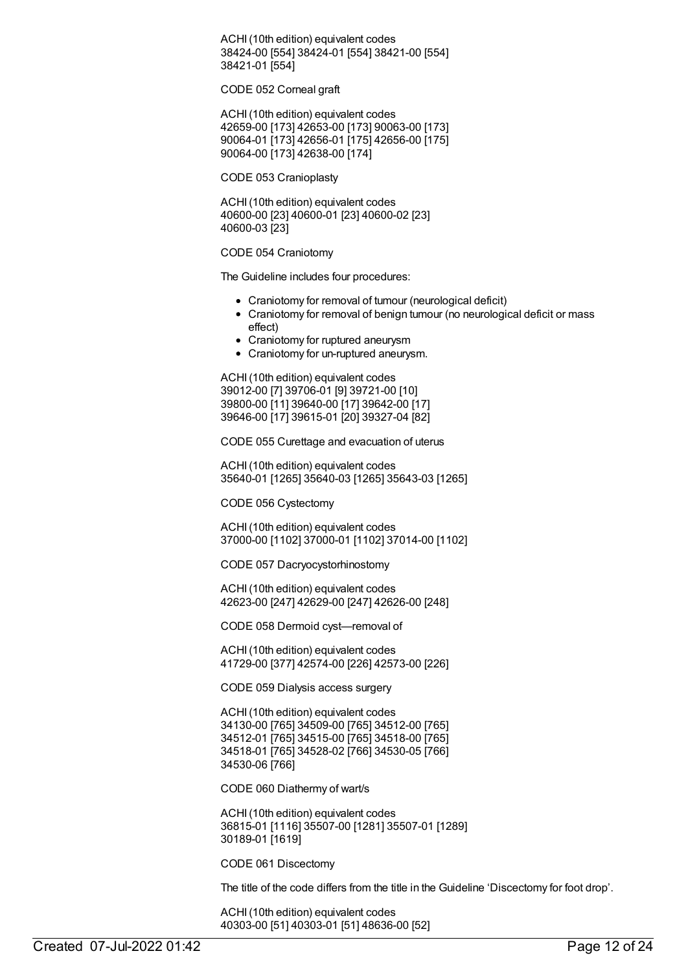ACHI(10th edition) equivalent codes 38424-00 [554] 38424-01 [554] 38421-00 [554] 38421-01 [554]

CODE 052 Corneal graft

ACHI(10th edition) equivalent codes 42659-00 [173] 42653-00 [173] 90063-00 [173] 90064-01 [173] 42656-01 [175] 42656-00 [175] 90064-00 [173] 42638-00 [174]

CODE 053 Cranioplasty

ACHI(10th edition) equivalent codes 40600-00 [23] 40600-01 [23] 40600-02 [23] 40600-03 [23]

CODE 054 Craniotomy

The Guideline includes four procedures:

- Craniotomy for removal of tumour (neurological deficit)
- Craniotomy for removal of benign tumour (no neurological deficit or mass effect)
- Craniotomy for ruptured aneurysm
- Craniotomy for un-ruptured aneurysm.

ACHI(10th edition) equivalent codes 39012-00 [7] 39706-01 [9] 39721-00 [10] 39800-00 [11] 39640-00 [17] 39642-00 [17] 39646-00 [17] 39615-01 [20] 39327-04 [82]

CODE 055 Curettage and evacuation of uterus

ACHI(10th edition) equivalent codes 35640-01 [1265] 35640-03 [1265] 35643-03 [1265]

CODE 056 Cystectomy

ACHI(10th edition) equivalent codes 37000-00 [1102] 37000-01 [1102] 37014-00 [1102]

CODE 057 Dacryocystorhinostomy

ACHI(10th edition) equivalent codes 42623-00 [247] 42629-00 [247] 42626-00 [248]

CODE 058 Dermoid cyst—removal of

ACHI(10th edition) equivalent codes 41729-00 [377] 42574-00 [226] 42573-00 [226]

CODE 059 Dialysis access surgery

ACHI(10th edition) equivalent codes 34130-00 [765] 34509-00 [765] 34512-00 [765] 34512-01 [765] 34515-00 [765] 34518-00 [765] 34518-01 [765] 34528-02 [766] 34530-05 [766] 34530-06 [766]

CODE 060 Diathermy of wart/s

ACHI(10th edition) equivalent codes 36815-01 [1116] 35507-00 [1281] 35507-01 [1289] 30189-01 [1619]

CODE 061 Discectomy

The title of the code differs from the title in the Guideline 'Discectomy for foot drop'.

ACHI(10th edition) equivalent codes 40303-00 [51] 40303-01 [51] 48636-00 [52]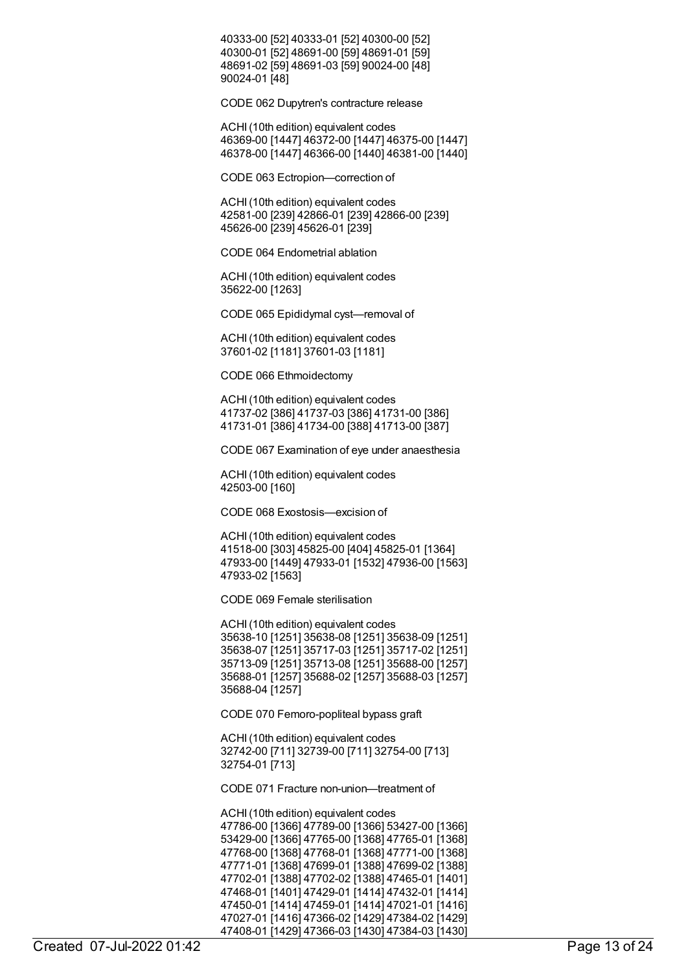40333-00 [52] 40333-01 [52] 40300-00 [52] 40300-01 [52] 48691-00 [59] 48691-01 [59] 48691-02 [59] 48691-03 [59] 90024-00 [48] 90024-01 [48]

CODE 062 Dupytren's contracture release

ACHI(10th edition) equivalent codes 46369-00 [1447] 46372-00 [1447] 46375-00 [1447] 46378-00 [1447] 46366-00 [1440] 46381-00 [1440]

CODE 063 Ectropion—correction of

ACHI(10th edition) equivalent codes 42581-00 [239] 42866-01 [239] 42866-00 [239] 45626-00 [239] 45626-01 [239]

CODE 064 Endometrial ablation

ACHI(10th edition) equivalent codes 35622-00 [1263]

CODE 065 Epididymal cyst—removal of

ACHI(10th edition) equivalent codes 37601-02 [1181] 37601-03 [1181]

CODE 066 Ethmoidectomy

ACHI(10th edition) equivalent codes 41737-02 [386] 41737-03 [386] 41731-00 [386] 41731-01 [386] 41734-00 [388] 41713-00 [387]

CODE 067 Examination of eye under anaesthesia

ACHI(10th edition) equivalent codes 42503-00 [160]

CODE 068 Exostosis—excision of

ACHI(10th edition) equivalent codes 41518-00 [303] 45825-00 [404] 45825-01 [1364] 47933-00 [1449] 47933-01 [1532] 47936-00 [1563] 47933-02 [1563]

CODE 069 Female sterilisation

ACHI(10th edition) equivalent codes 35638-10 [1251] 35638-08 [1251] 35638-09 [1251] 35638-07 [1251] 35717-03 [1251] 35717-02 [1251] 35713-09 [1251] 35713-08 [1251] 35688-00 [1257] 35688-01 [1257] 35688-02 [1257] 35688-03 [1257] 35688-04 [1257]

CODE 070 Femoro-popliteal bypass graft

ACHI(10th edition) equivalent codes 32742-00 [711] 32739-00 [711] 32754-00 [713] 32754-01 [713]

CODE 071 Fracture non-union—treatment of

ACHI(10th edition) equivalent codes 47786-00 [1366] 47789-00 [1366] 53427-00 [1366] 53429-00 [1366] 47765-00 [1368] 47765-01 [1368] 47768-00 [1368] 47768-01 [1368] 47771-00 [1368] 47771-01 [1368] 47699-01 [1388] 47699-02 [1388] 47702-01 [1388] 47702-02 [1388] 47465-01 [1401] 47468-01 [1401] 47429-01 [1414] 47432-01 [1414] 47450-01 [1414] 47459-01 [1414] 47021-01 [1416] 47027-01 [1416] 47366-02 [1429] 47384-02 [1429] 47408-01 [1429] 47366-03 [1430] 47384-03 [1430]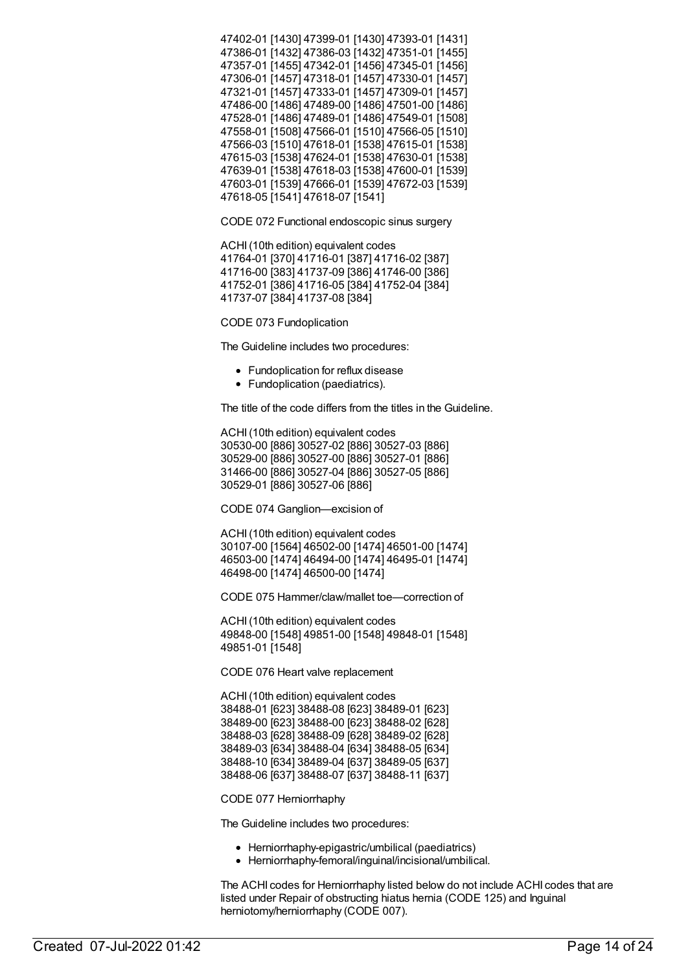47402-01 [1430] 47399-01 [1430] 47393-01 [1431] 47386-01 [1432] 47386-03 [1432] 47351-01 [1455] 47357-01 [1455] 47342-01 [1456] 47345-01 [1456] 47306-01 [1457] 47318-01 [1457] 47330-01 [1457] 47321-01 [1457] 47333-01 [1457] 47309-01 [1457] 47486-00 [1486] 47489-00 [1486] 47501-00 [1486] 47528-01 [1486] 47489-01 [1486] 47549-01 [1508] 47558-01 [1508] 47566-01 [1510] 47566-05 [1510] 47566-03 [1510] 47618-01 [1538] 47615-01 [1538] 47615-03 [1538] 47624-01 [1538] 47630-01 [1538] 47639-01 [1538] 47618-03 [1538] 47600-01 [1539] 47603-01 [1539] 47666-01 [1539] 47672-03 [1539] 47618-05 [1541] 47618-07 [1541]

CODE 072 Functional endoscopic sinus surgery

ACHI(10th edition) equivalent codes 41764-01 [370] 41716-01 [387] 41716-02 [387] 41716-00 [383] 41737-09 [386] 41746-00 [386] 41752-01 [386] 41716-05 [384] 41752-04 [384] 41737-07 [384] 41737-08 [384]

CODE 073 Fundoplication

The Guideline includes two procedures:

- Fundoplication for reflux disease
- Fundoplication (paediatrics).

The title of the code differs from the titles in the Guideline.

ACHI(10th edition) equivalent codes 30530-00 [886] 30527-02 [886] 30527-03 [886] 30529-00 [886] 30527-00 [886] 30527-01 [886] 31466-00 [886] 30527-04 [886] 30527-05 [886] 30529-01 [886] 30527-06 [886]

CODE 074 Ganglion—excision of

ACHI(10th edition) equivalent codes 30107-00 [1564] 46502-00 [1474] 46501-00 [1474] 46503-00 [1474] 46494-00 [1474] 46495-01 [1474] 46498-00 [1474] 46500-00 [1474]

CODE 075 Hammer/claw/mallet toe—correction of

ACHI(10th edition) equivalent codes 49848-00 [1548] 49851-00 [1548] 49848-01 [1548] 49851-01 [1548]

CODE 076 Heart valve replacement

ACHI(10th edition) equivalent codes 38488-01 [623] 38488-08 [623] 38489-01 [623] 38489-00 [623] 38488-00 [623] 38488-02 [628] 38488-03 [628] 38488-09 [628] 38489-02 [628] 38489-03 [634] 38488-04 [634] 38488-05 [634] 38488-10 [634] 38489-04 [637] 38489-05 [637] 38488-06 [637] 38488-07 [637] 38488-11 [637]

CODE 077 Herniorrhaphy

The Guideline includes two procedures:

- Herniorrhaphy-epigastric/umbilical (paediatrics)
- Herniorrhaphy-femoral/inguinal/incisional/umbilical.

The ACHI codes for Herniorrhaphy listed below do not include ACHI codes that are listed under Repair of obstructing hiatus hernia (CODE 125) and Inguinal herniotomy/herniorrhaphy (CODE 007).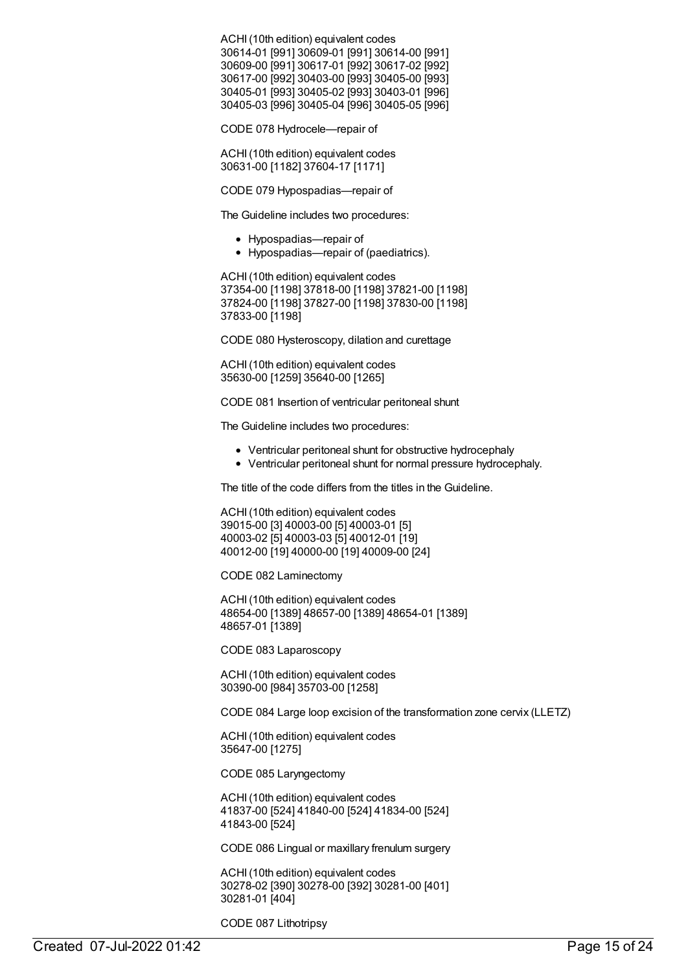ACHI(10th edition) equivalent codes 30614-01 [991] 30609-01 [991] 30614-00 [991] 30609-00 [991] 30617-01 [992] 30617-02 [992] 30617-00 [992] 30403-00 [993] 30405-00 [993] 30405-01 [993] 30405-02 [993] 30403-01 [996] 30405-03 [996] 30405-04 [996] 30405-05 [996]

CODE 078 Hydrocele—repair of

ACHI(10th edition) equivalent codes 30631-00 [1182] 37604-17 [1171]

CODE 079 Hypospadias—repair of

The Guideline includes two procedures:

- Hypospadias—repair of
- Hypospadias—repair of (paediatrics).

ACHI(10th edition) equivalent codes 37354-00 [1198] 37818-00 [1198] 37821-00 [1198] 37824-00 [1198] 37827-00 [1198] 37830-00 [1198] 37833-00 [1198]

CODE 080 Hysteroscopy, dilation and curettage

ACHI(10th edition) equivalent codes 35630-00 [1259] 35640-00 [1265]

CODE 081 Insertion of ventricular peritoneal shunt

The Guideline includes two procedures:

- Ventricular peritoneal shunt for obstructive hydrocephaly
- Ventricular peritoneal shunt for normal pressure hydrocephaly.

The title of the code differs from the titles in the Guideline.

ACHI(10th edition) equivalent codes 39015-00 [3] 40003-00 [5] 40003-01 [5] 40003-02 [5] 40003-03 [5] 40012-01 [19] 40012-00 [19] 40000-00 [19] 40009-00 [24]

CODE 082 Laminectomy

ACHI(10th edition) equivalent codes 48654-00 [1389] 48657-00 [1389] 48654-01 [1389] 48657-01 [1389]

CODE 083 Laparoscopy

ACHI(10th edition) equivalent codes 30390-00 [984] 35703-00 [1258]

CODE 084 Large loop excision of the transformation zone cervix (LLETZ)

ACHI(10th edition) equivalent codes 35647-00 [1275]

CODE 085 Laryngectomy

ACHI(10th edition) equivalent codes 41837-00 [524] 41840-00 [524] 41834-00 [524] 41843-00 [524]

CODE 086 Lingual or maxillary frenulum surgery

ACHI(10th edition) equivalent codes 30278-02 [390] 30278-00 [392] 30281-00 [401] 30281-01 [404]

CODE 087 Lithotripsy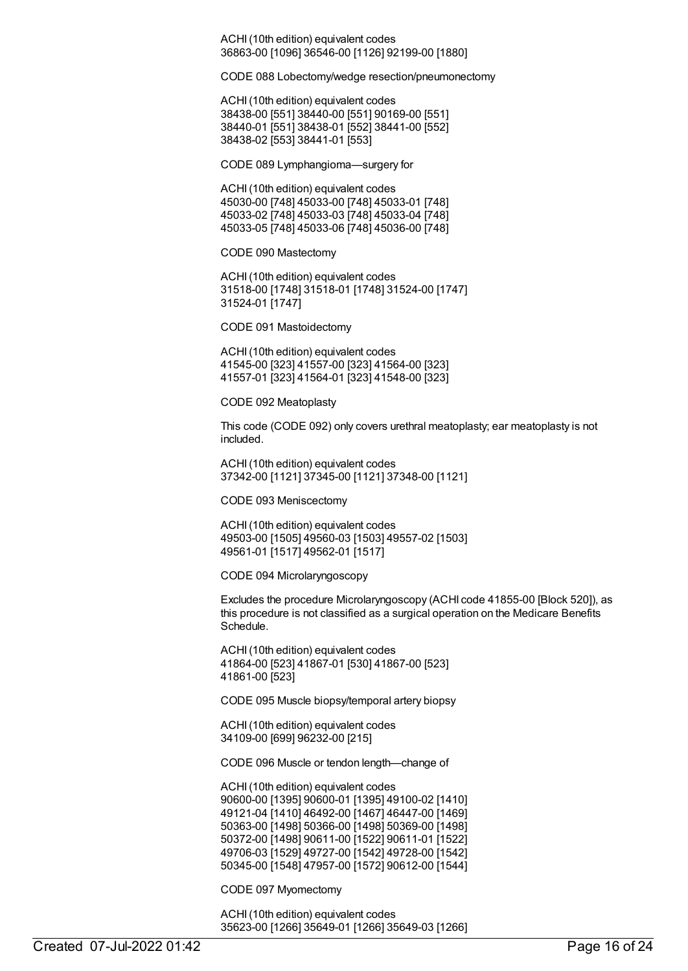ACHI(10th edition) equivalent codes 36863-00 [1096] 36546-00 [1126] 92199-00 [1880]

CODE 088 Lobectomy/wedge resection/pneumonectomy

ACHI(10th edition) equivalent codes 38438-00 [551] 38440-00 [551] 90169-00 [551] 38440-01 [551] 38438-01 [552] 38441-00 [552] 38438-02 [553] 38441-01 [553]

CODE 089 Lymphangioma—surgery for

ACHI(10th edition) equivalent codes 45030-00 [748] 45033-00 [748] 45033-01 [748] 45033-02 [748] 45033-03 [748] 45033-04 [748] 45033-05 [748] 45033-06 [748] 45036-00 [748]

CODE 090 Mastectomy

ACHI(10th edition) equivalent codes 31518-00 [1748] 31518-01 [1748] 31524-00 [1747] 31524-01 [1747]

CODE 091 Mastoidectomy

ACHI(10th edition) equivalent codes 41545-00 [323] 41557-00 [323] 41564-00 [323] 41557-01 [323] 41564-01 [323] 41548-00 [323]

CODE 092 Meatoplasty

This code (CODE 092) only covers urethral meatoplasty; ear meatoplasty is not included.

ACHI(10th edition) equivalent codes 37342-00 [1121] 37345-00 [1121] 37348-00 [1121]

CODE 093 Meniscectomy

ACHI(10th edition) equivalent codes 49503-00 [1505] 49560-03 [1503] 49557-02 [1503] 49561-01 [1517] 49562-01 [1517]

CODE 094 Microlaryngoscopy

Excludes the procedure Microlaryngoscopy (ACHI code 41855-00 [Block 520]), as this procedure is not classified as a surgical operation on the Medicare Benefits Schedule.

ACHI(10th edition) equivalent codes 41864-00 [523] 41867-01 [530] 41867-00 [523] 41861-00 [523]

CODE 095 Muscle biopsy/temporal artery biopsy

ACHI(10th edition) equivalent codes 34109-00 [699] 96232-00 [215]

CODE 096 Muscle or tendon length—change of

ACHI(10th edition) equivalent codes 90600-00 [1395] 90600-01 [1395] 49100-02 [1410] 49121-04 [1410] 46492-00 [1467] 46447-00 [1469] 50363-00 [1498] 50366-00 [1498] 50369-00 [1498] 50372-00 [1498] 90611-00 [1522] 90611-01 [1522] 49706-03 [1529] 49727-00 [1542] 49728-00 [1542] 50345-00 [1548] 47957-00 [1572] 90612-00 [1544]

CODE 097 Myomectomy

ACHI(10th edition) equivalent codes 35623-00 [1266] 35649-01 [1266] 35649-03 [1266]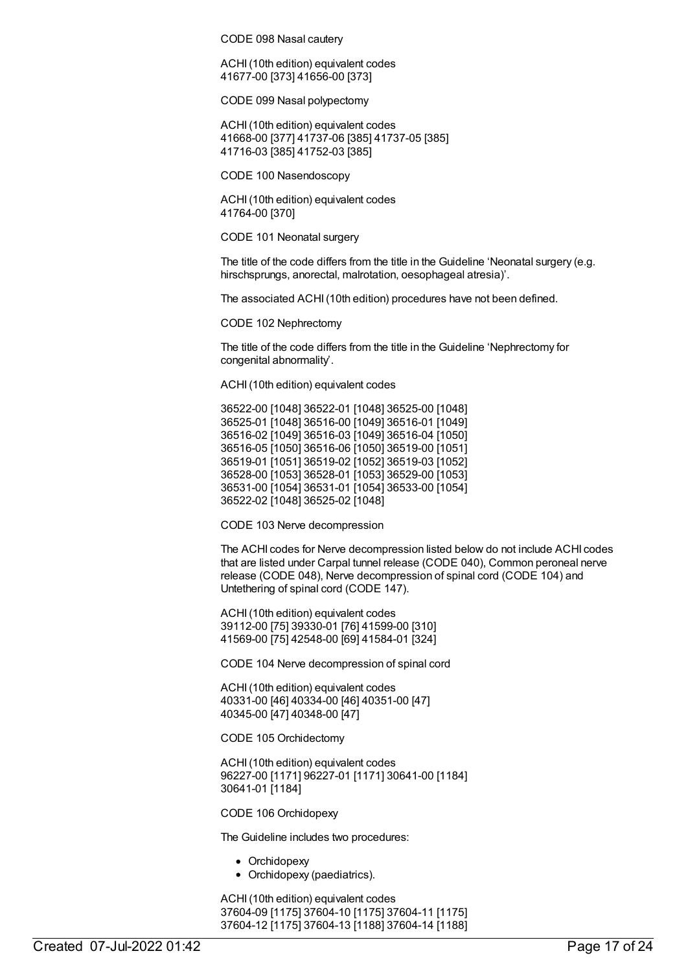CODE 098 Nasal cautery

ACHI(10th edition) equivalent codes 41677-00 [373] 41656-00 [373]

CODE 099 Nasal polypectomy

ACHI(10th edition) equivalent codes 41668-00 [377] 41737-06 [385] 41737-05 [385] 41716-03 [385] 41752-03 [385]

CODE 100 Nasendoscopy

ACHI(10th edition) equivalent codes 41764-00 [370]

CODE 101 Neonatal surgery

The title of the code differs from the title in the Guideline 'Neonatal surgery (e.g. hirschsprungs, anorectal, malrotation, oesophageal atresia)'.

The associated ACHI(10th edition) procedures have not been defined.

CODE 102 Nephrectomy

The title of the code differs from the title in the Guideline 'Nephrectomy for congenital abnormality'.

ACHI(10th edition) equivalent codes

36522-00 [1048] 36522-01 [1048] 36525-00 [1048] 36525-01 [1048] 36516-00 [1049] 36516-01 [1049] 36516-02 [1049] 36516-03 [1049] 36516-04 [1050] 36516-05 [1050] 36516-06 [1050] 36519-00 [1051] 36519-01 [1051] 36519-02 [1052] 36519-03 [1052] 36528-00 [1053] 36528-01 [1053] 36529-00 [1053] 36531-00 [1054] 36531-01 [1054] 36533-00 [1054] 36522-02 [1048] 36525-02 [1048]

CODE 103 Nerve decompression

The ACHI codes for Nerve decompression listed below do not include ACHI codes that are listed under Carpal tunnel release (CODE 040), Common peroneal nerve release (CODE 048), Nerve decompression of spinal cord (CODE 104) and Untethering of spinal cord (CODE 147).

ACHI(10th edition) equivalent codes 39112-00 [75] 39330-01 [76] 41599-00 [310] 41569-00 [75] 42548-00 [69] 41584-01 [324]

CODE 104 Nerve decompression of spinal cord

ACHI(10th edition) equivalent codes 40331-00 [46] 40334-00 [46] 40351-00 [47] 40345-00 [47] 40348-00 [47]

CODE 105 Orchidectomy

ACHI(10th edition) equivalent codes 96227-00 [1171] 96227-01 [1171] 30641-00 [1184] 30641-01 [1184]

CODE 106 Orchidopexy

The Guideline includes two procedures:

- Orchidopexy
- Orchidopexy (paediatrics).

ACHI(10th edition) equivalent codes 37604-09 [1175] 37604-10 [1175] 37604-11 [1175] 37604-12 [1175] 37604-13 [1188] 37604-14 [1188]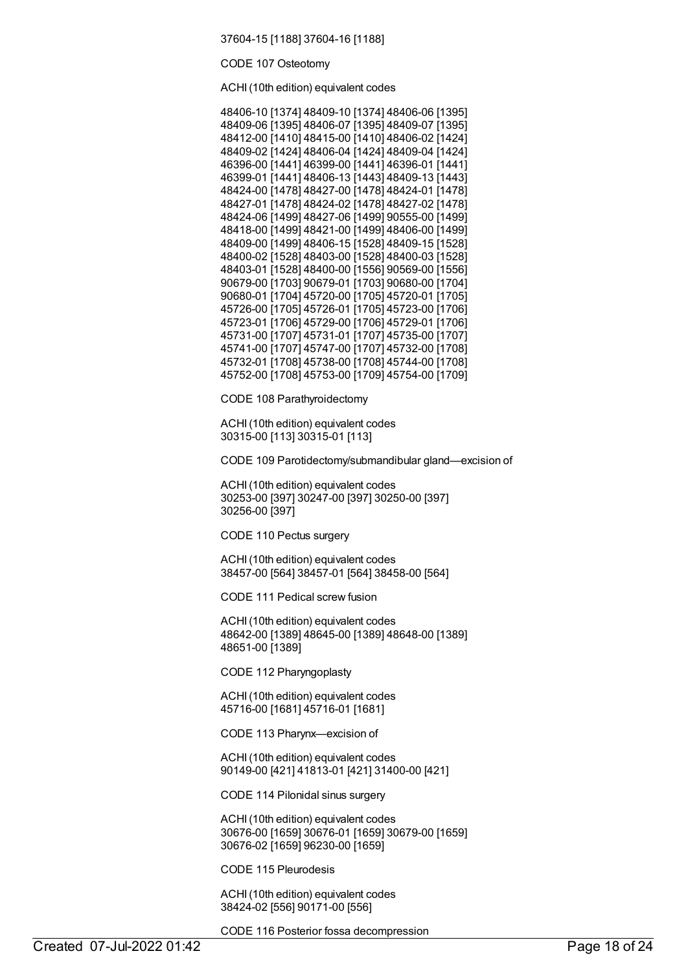37604-15 [1188] 37604-16 [1188]

CODE 107 Osteotomy

ACHI(10th edition) equivalent codes

| 48406-10 [1374] 48409-10 [1374] 48406-06 [1395] |  |
|-------------------------------------------------|--|
| 48409-06 [1395] 48406-07 [1395] 48409-07 [1395] |  |
| 48412-00 [1410] 48415-00 [1410] 48406-02 [1424] |  |
|                                                 |  |
| 48409-02 [1424] 48406-04 [1424] 48409-04 [1424] |  |
| 46396-00 [1441] 46399-00 [1441] 46396-01 [1441] |  |
| 46399-01 [1441] 48406-13 [1443] 48409-13 [1443] |  |
| 48424-00 [1478] 48427-00 [1478] 48424-01 [1478] |  |
| 48427-01 [1478] 48424-02 [1478] 48427-02 [1478] |  |
| 48424-06 [1499] 48427-06 [1499] 90555-00 [1499] |  |
| 48418-00 [1499] 48421-00 [1499] 48406-00 [1499] |  |
| 48409-00 [1499] 48406-15 [1528] 48409-15 [1528] |  |
| 48400-02 [1528] 48403-00 [1528] 48400-03 [1528] |  |
| 48403-01 [1528] 48400-00 [1556] 90569-00 [1556] |  |
| 90679-00 [1703] 90679-01 [1703] 90680-00 [1704] |  |
| 90680-01 [1704] 45720-00 [1705] 45720-01 [1705] |  |
| 45726-00 [1705] 45726-01 [1705] 45723-00 [1706] |  |
| 45723-01 [1706] 45729-00 [1706] 45729-01 [1706] |  |
| 45731-00 [1707] 45731-01 [1707] 45735-00 [1707] |  |
| 45741-00 [1707] 45747-00 [1707] 45732-00 [1708] |  |
| 45732-01 [1708] 45738-00 [1708] 45744-00 [1708] |  |
| 45752-00 [1708] 45753-00 [1709] 45754-00 [1709] |  |
|                                                 |  |

CODE 108 Parathyroidectomy

ACHI(10th edition) equivalent codes 30315-00 [113] 30315-01 [113]

CODE 109 Parotidectomy/submandibular gland—excision of

ACHI(10th edition) equivalent codes 30253-00 [397] 30247-00 [397] 30250-00 [397] 30256-00 [397]

CODE 110 Pectus surgery

ACHI(10th edition) equivalent codes 38457-00 [564] 38457-01 [564] 38458-00 [564]

CODE 111 Pedical screw fusion

ACHI(10th edition) equivalent codes 48642-00 [1389] 48645-00 [1389] 48648-00 [1389] 48651-00 [1389]

CODE 112 Pharyngoplasty

ACHI(10th edition) equivalent codes 45716-00 [1681] 45716-01 [1681]

CODE 113 Pharynx—excision of

ACHI(10th edition) equivalent codes 90149-00 [421] 41813-01 [421] 31400-00 [421]

CODE 114 Pilonidal sinus surgery

ACHI(10th edition) equivalent codes 30676-00 [1659] 30676-01 [1659] 30679-00 [1659] 30676-02 [1659] 96230-00 [1659]

CODE 115 Pleurodesis

ACHI(10th edition) equivalent codes 38424-02 [556] 90171-00 [556]

CODE 116 Posterior fossa decompression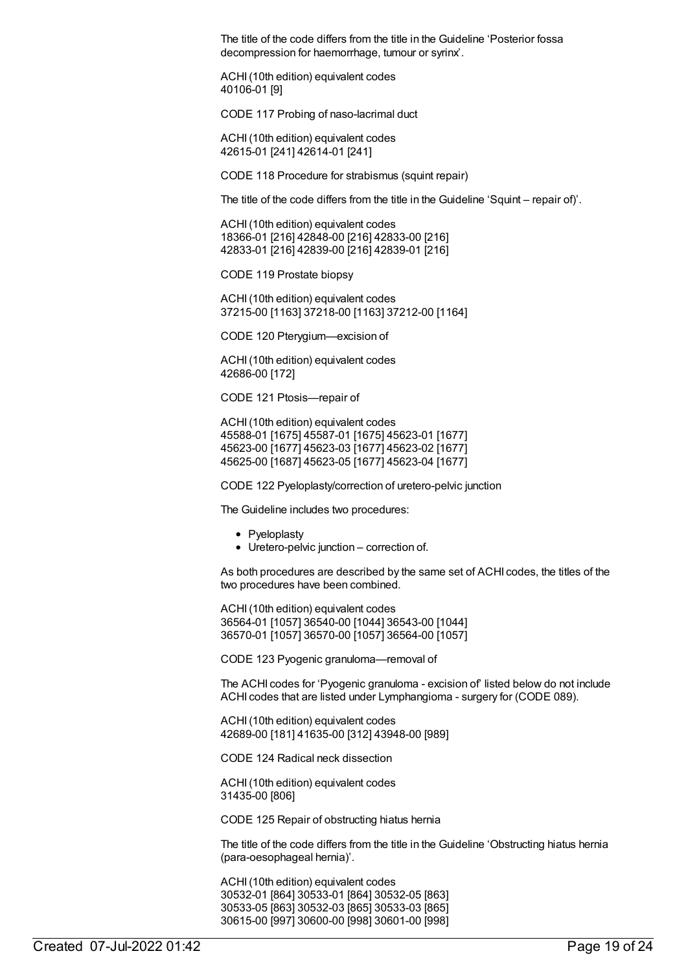The title of the code differs from the title in the Guideline 'Posterior fossa decompression for haemorrhage, tumour or syrinx'.

ACHI(10th edition) equivalent codes 40106-01 [9]

CODE 117 Probing of naso-lacrimal duct

ACHI(10th edition) equivalent codes 42615-01 [241] 42614-01 [241]

CODE 118 Procedure for strabismus (squint repair)

The title of the code differs from the title in the Guideline 'Squint – repair of)'.

ACHI(10th edition) equivalent codes 18366-01 [216] 42848-00 [216] 42833-00 [216] 42833-01 [216] 42839-00 [216] 42839-01 [216]

CODE 119 Prostate biopsy

ACHI(10th edition) equivalent codes 37215-00 [1163] 37218-00 [1163] 37212-00 [1164]

CODE 120 Pterygium—excision of

ACHI(10th edition) equivalent codes 42686-00 [172]

CODE 121 Ptosis—repair of

ACHI(10th edition) equivalent codes 45588-01 [1675] 45587-01 [1675] 45623-01 [1677] 45623-00 [1677] 45623-03 [1677] 45623-02 [1677] 45625-00 [1687] 45623-05 [1677] 45623-04 [1677]

CODE 122 Pyeloplasty/correction of uretero-pelvic junction

The Guideline includes two procedures:

- Pveloplastv
- Uretero-pelvic junction correction of.

As both procedures are described by the same set of ACHI codes, the titles of the two procedures have been combined.

ACHI(10th edition) equivalent codes 36564-01 [1057] 36540-00 [1044] 36543-00 [1044] 36570-01 [1057] 36570-00 [1057] 36564-00 [1057]

CODE 123 Pyogenic granuloma—removal of

The ACHI codes for 'Pyogenic granuloma - excision of' listed below do not include ACHI codes that are listed under Lymphangioma - surgery for (CODE 089).

ACHI(10th edition) equivalent codes 42689-00 [181] 41635-00 [312] 43948-00 [989]

CODE 124 Radical neck dissection

ACHI(10th edition) equivalent codes 31435-00 [806]

CODE 125 Repair of obstructing hiatus hernia

The title of the code differs from the title in the Guideline 'Obstructing hiatus hernia (para-oesophageal hernia)'.

ACHI(10th edition) equivalent codes 30532-01 [864] 30533-01 [864] 30532-05 [863] 30533-05 [863] 30532-03 [865] 30533-03 [865] 30615-00 [997] 30600-00 [998] 30601-00 [998]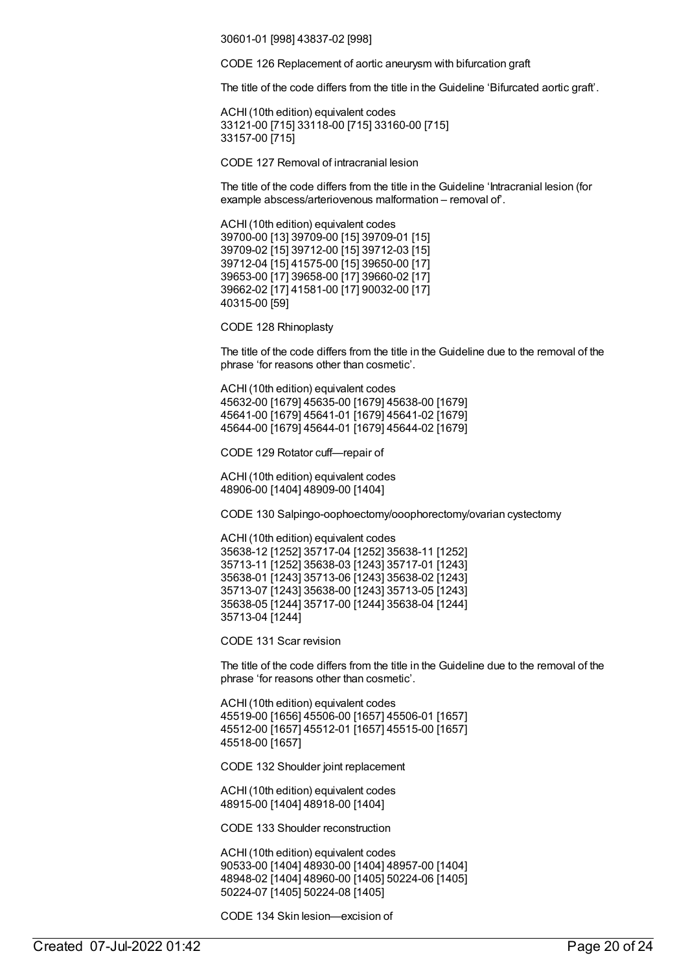30601-01 [998] 43837-02 [998]

CODE 126 Replacement of aortic aneurysm with bifurcation graft

The title of the code differs from the title in the Guideline 'Bifurcated aortic graft'.

ACHI(10th edition) equivalent codes 33121-00 [715] 33118-00 [715] 33160-00 [715] 33157-00 [715]

CODE 127 Removal of intracranial lesion

The title of the code differs from the title in the Guideline 'Intracranial lesion (for example abscess/arteriovenous malformation – removal of'.

ACHI(10th edition) equivalent codes 39700-00 [13] 39709-00 [15] 39709-01 [15] 39709-02 [15] 39712-00 [15] 39712-03 [15] 39712-04 [15] 41575-00 [15] 39650-00 [17] 39653-00 [17] 39658-00 [17] 39660-02 [17] 39662-02 [17] 41581-00 [17] 90032-00 [17] 40315-00 [59]

CODE 128 Rhinoplasty

The title of the code differs from the title in the Guideline due to the removal of the phrase 'for reasons other than cosmetic'.

ACHI(10th edition) equivalent codes 45632-00 [1679] 45635-00 [1679] 45638-00 [1679] 45641-00 [1679] 45641-01 [1679] 45641-02 [1679] 45644-00 [1679] 45644-01 [1679] 45644-02 [1679]

CODE 129 Rotator cuff—repair of

ACHI(10th edition) equivalent codes 48906-00 [1404] 48909-00 [1404]

CODE 130 Salpingo-oophoectomy/ooophorectomy/ovarian cystectomy

ACHI(10th edition) equivalent codes 35638-12 [1252] 35717-04 [1252] 35638-11 [1252] 35713-11 [1252] 35638-03 [1243] 35717-01 [1243] 35638-01 [1243] 35713-06 [1243] 35638-02 [1243] 35713-07 [1243] 35638-00 [1243] 35713-05 [1243] 35638-05 [1244] 35717-00 [1244] 35638-04 [1244] 35713-04 [1244]

CODE 131 Scar revision

The title of the code differs from the title in the Guideline due to the removal of the phrase 'for reasons other than cosmetic'.

ACHI(10th edition) equivalent codes 45519-00 [1656] 45506-00 [1657] 45506-01 [1657] 45512-00 [1657] 45512-01 [1657] 45515-00 [1657] 45518-00 [1657]

CODE 132 Shoulder joint replacement

ACHI(10th edition) equivalent codes 48915-00 [1404] 48918-00 [1404]

CODE 133 Shoulder reconstruction

ACHI(10th edition) equivalent codes 90533-00 [1404] 48930-00 [1404] 48957-00 [1404] 48948-02 [1404] 48960-00 [1405] 50224-06 [1405] 50224-07 [1405] 50224-08 [1405]

CODE 134 Skin lesion—excision of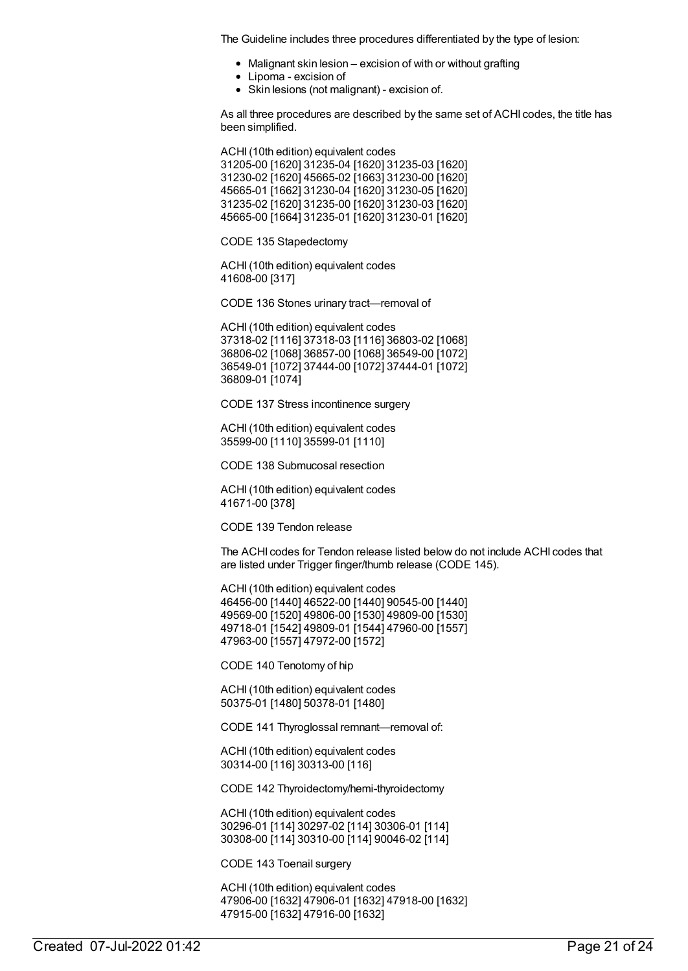The Guideline includes three procedures differentiated by the type of lesion:

- Malignant skin lesion excision of with or without grafting
- Lipoma excision of
- Skin lesions (not malignant) excision of.

As all three procedures are described by the same set of ACHI codes, the title has been simplified.

ACHI(10th edition) equivalent codes 31205-00 [1620] 31235-04 [1620] 31235-03 [1620] 31230-02 [1620] 45665-02 [1663] 31230-00 [1620] 45665-01 [1662] 31230-04 [1620] 31230-05 [1620] 31235-02 [1620] 31235-00 [1620] 31230-03 [1620] 45665-00 [1664] 31235-01 [1620] 31230-01 [1620]

CODE 135 Stapedectomy

ACHI(10th edition) equivalent codes 41608-00 [317]

CODE 136 Stones urinary tract—removal of

ACHI(10th edition) equivalent codes 37318-02 [1116] 37318-03 [1116] 36803-02 [1068] 36806-02 [1068] 36857-00 [1068] 36549-00 [1072] 36549-01 [1072] 37444-00 [1072] 37444-01 [1072] 36809-01 [1074]

CODE 137 Stress incontinence surgery

ACHI(10th edition) equivalent codes 35599-00 [1110] 35599-01 [1110]

CODE 138 Submucosal resection

ACHI(10th edition) equivalent codes 41671-00 [378]

CODE 139 Tendon release

The ACHI codes for Tendon release listed below do not include ACHI codes that are listed under Trigger finger/thumb release (CODE 145).

ACHI(10th edition) equivalent codes 46456-00 [1440] 46522-00 [1440] 90545-00 [1440] 49569-00 [1520] 49806-00 [1530] 49809-00 [1530] 49718-01 [1542] 49809-01 [1544] 47960-00 [1557] 47963-00 [1557] 47972-00 [1572]

CODE 140 Tenotomy of hip

ACHI(10th edition) equivalent codes 50375-01 [1480] 50378-01 [1480]

CODE 141 Thyroglossal remnant—removal of:

ACHI(10th edition) equivalent codes 30314-00 [116] 30313-00 [116]

CODE 142 Thyroidectomy/hemi-thyroidectomy

ACHI(10th edition) equivalent codes 30296-01 [114] 30297-02 [114] 30306-01 [114] 30308-00 [114] 30310-00 [114] 90046-02 [114]

CODE 143 Toenail surgery

ACHI(10th edition) equivalent codes 47906-00 [1632] 47906-01 [1632] 47918-00 [1632] 47915-00 [1632] 47916-00 [1632]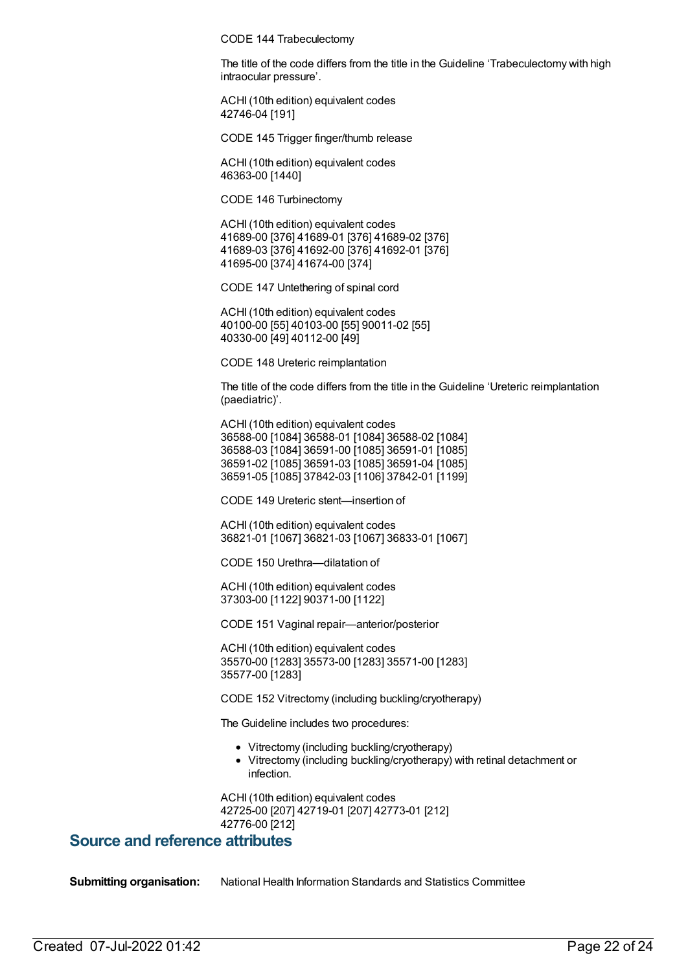CODE 144 Trabeculectomy

The title of the code differs from the title in the Guideline 'Trabeculectomy with high intraocular pressure'.

ACHI(10th edition) equivalent codes 42746-04 [191]

CODE 145 Trigger finger/thumb release

ACHI(10th edition) equivalent codes 46363-00 [1440]

CODE 146 Turbinectomy

ACHI(10th edition) equivalent codes 41689-00 [376] 41689-01 [376] 41689-02 [376] 41689-03 [376] 41692-00 [376] 41692-01 [376] 41695-00 [374] 41674-00 [374]

CODE 147 Untethering of spinal cord

ACHI(10th edition) equivalent codes 40100-00 [55] 40103-00 [55] 90011-02 [55] 40330-00 [49] 40112-00 [49]

CODE 148 Ureteric reimplantation

The title of the code differs from the title in the Guideline 'Ureteric reimplantation (paediatric)'.

ACHI(10th edition) equivalent codes 36588-00 [1084] 36588-01 [1084] 36588-02 [1084] 36588-03 [1084] 36591-00 [1085] 36591-01 [1085] 36591-02 [1085] 36591-03 [1085] 36591-04 [1085] 36591-05 [1085] 37842-03 [1106] 37842-01 [1199]

CODE 149 Ureteric stent—insertion of

ACHI(10th edition) equivalent codes 36821-01 [1067] 36821-03 [1067] 36833-01 [1067]

CODE 150 Urethra—dilatation of

ACHI(10th edition) equivalent codes 37303-00 [1122] 90371-00 [1122]

CODE 151 Vaginal repair—anterior/posterior

ACHI(10th edition) equivalent codes 35570-00 [1283] 35573-00 [1283] 35571-00 [1283] 35577-00 [1283]

CODE 152 Vitrectomy (including buckling/cryotherapy)

The Guideline includes two procedures:

- Vitrectomy (including buckling/cryotherapy)
- Vitrectomy (including buckling/cryotherapy) with retinal detachment or infection.

ACHI(10th edition) equivalent codes 42725-00 [207] 42719-01 [207] 42773-01 [212] 42776-00 [212]

#### **Source and reference attributes**

**Submitting organisation:** National Health Information Standards and Statistics Committee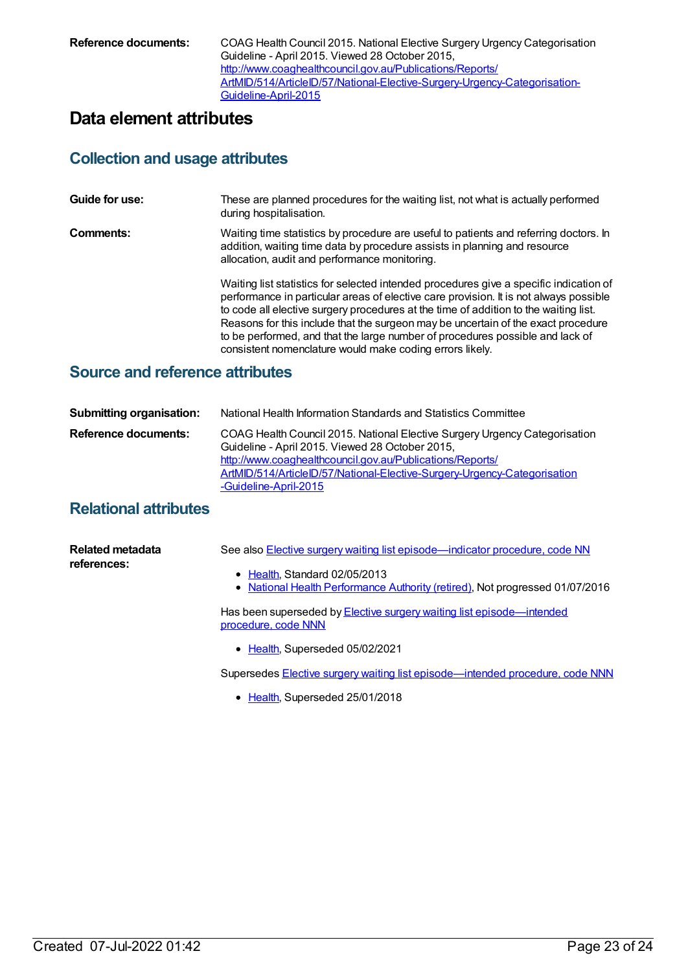**Reference documents:** COAG Health Council 2015. National Elective Surgery Urgency Categorisation Guideline - April 2015. Viewed 28 October 2015, http://www.coaghealthcouncil.gov.au/Publications/Reports/ [ArtMID/514/ArticleID/57/National-Elective-Surgery-Urgency-Categorisation-](http://www.coaghealthcouncil.gov.au/Publications/Reports/ArtMID/514/ArticleID/57/National-Elective-Surgery-Urgency-Categorisation-Guideline-April-2015)Guideline-April-2015

# **Data element attributes**

#### **Collection and usage attributes**

| Guide for use: | These are planned procedures for the waiting list, not what is actually performed<br>during hospitalisation.                                                                                                                                                                                                                                                                                                                                                                                              |
|----------------|-----------------------------------------------------------------------------------------------------------------------------------------------------------------------------------------------------------------------------------------------------------------------------------------------------------------------------------------------------------------------------------------------------------------------------------------------------------------------------------------------------------|
| Comments:      | Waiting time statistics by procedure are useful to patients and referring doctors. In<br>addition, waiting time data by procedure assists in planning and resource<br>allocation, audit and performance monitoring.                                                                                                                                                                                                                                                                                       |
|                | Waiting list statistics for selected intended procedures give a specific indication of<br>performance in particular areas of elective care provision. It is not always possible<br>to code all elective surgery procedures at the time of addition to the waiting list.<br>Reasons for this include that the surgeon may be uncertain of the exact procedure<br>to be performed, and that the large number of procedures possible and lack of<br>consistent nomenclature would make coding errors likely. |

### **Source and reference attributes**

| <b>Submitting organisation:</b> | National Health Information Standards and Statistics Committee                                                                                                                                                                                                                                  |
|---------------------------------|-------------------------------------------------------------------------------------------------------------------------------------------------------------------------------------------------------------------------------------------------------------------------------------------------|
| Reference documents:            | COAG Health Council 2015. National Elective Surgery Urgency Categorisation<br>Guideline - April 2015. Viewed 28 October 2015,<br>http://www.coaghealthcouncil.gov.au/Publications/Reports/<br>ArtMID/514/ArticleID/57/National-Elective-Surgery-Urgency-Categorisation<br>-Guideline-April-2015 |

### **Relational attributes**

| <b>Related metadata</b><br>references: | See also <b>Elective surgery waiting list episode</b> —indicator procedure, code NN          |
|----------------------------------------|----------------------------------------------------------------------------------------------|
|                                        | • Health, Standard 02/05/2013                                                                |
|                                        | • National Health Performance Authority (retired), Not progressed 01/07/2016                 |
|                                        | Has been superseded by Elective surgery waiting list episode—intended<br>procedure, code NNN |
|                                        | $\sim$ Lealth Currented OF (00.0004                                                          |

• [Health](https://meteor.aihw.gov.au/RegistrationAuthority/12), Superseded 05/02/2021

Supersedes Elective surgery waiting list [episode—intended](https://meteor.aihw.gov.au/content/637500) procedure, code NNN

• [Health](https://meteor.aihw.gov.au/RegistrationAuthority/12), Superseded 25/01/2018